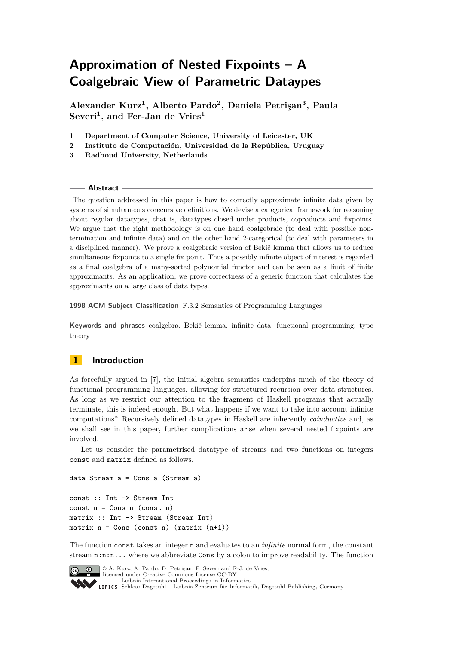# <span id="page-0-0"></span>**Approximation of Nested Fixpoints – A Coalgebraic View of Parametric Dataypes**

**Alexander Kurz<sup>1</sup> , Alberto Pardo<sup>2</sup> , Daniela Petrişan<sup>3</sup> , Paula Severi<sup>1</sup> , and Fer-Jan de Vries<sup>1</sup>**

- **1 Department of Computer Science, University of Leicester, UK**
- **2 Instituto de Computación, Universidad de la República, Uruguay**
- **3 Radboud University, Netherlands**

#### **Abstract**

The question addressed in this paper is how to correctly approximate infinite data given by systems of simultaneous corecursive definitions. We devise a categorical framework for reasoning about regular datatypes, that is, datatypes closed under products, coproducts and fixpoints. We argue that the right methodology is on one hand coalgebraic (to deal with possible nontermination and infinite data) and on the other hand 2-categorical (to deal with parameters in a disciplined manner). We prove a coalgebraic version of Bekič lemma that allows us to reduce simultaneous fixpoints to a single fix point. Thus a possibly infinite object of interest is regarded as a final coalgebra of a many-sorted polynomial functor and can be seen as a limit of finite approximants. As an application, we prove correctness of a generic function that calculates the approximants on a large class of data types.

**1998 ACM Subject Classification** F.3.2 Semantics of Programming Languages

**Keywords and phrases** coalgebra, Bekič lemma, infinite data, functional programming, type theory

## **1 Introduction**

As forcefully argued in [\[7\]](#page-15-0), the initial algebra semantics underpins much of the theory of functional programming languages, allowing for structured recursion over data structures. As long as we restrict our attention to the fragment of Haskell programs that actually terminate, this is indeed enough. But what happens if we want to take into account infinite computations? Recursively defined datatypes in Haskell are inherently *coinductive* and, as we shall see in this paper, further complications arise when several nested fixpoints are involved.

Let us consider the parametrised datatype of streams and two functions on integers const and matrix defined as follows.

data Stream a = Cons a (Stream a)

const :: Int -> Stream Int  $const n = Cons n (const n)$ matrix :: Int -> Stream (Stream Int) matrix  $n = Cons$  (const n) (matrix  $(n+1)$ )

The function const takes an integer n and evaluates to an *infinite* normal form, the constant stream n:n:n... where we abbreviate Cons by a colon to improve readability. The function



 $\boxed{\text{c}}$   $\boxed{\text{ }0\quad}$   $\boxed{\text{ }0\quad}$  A. Kurz, A. Pardo, D. Petrişan, P. Severi and F-J. de Vries; licensed under Creative Commons License CC-BY [Leibniz International Proceedings in Informatics](http://www.dagstuhl.de/lipics/) [Schloss Dagstuhl – Leibniz-Zentrum für Informatik, Dagstuhl Publishing, Germany](http://www.dagstuhl.de)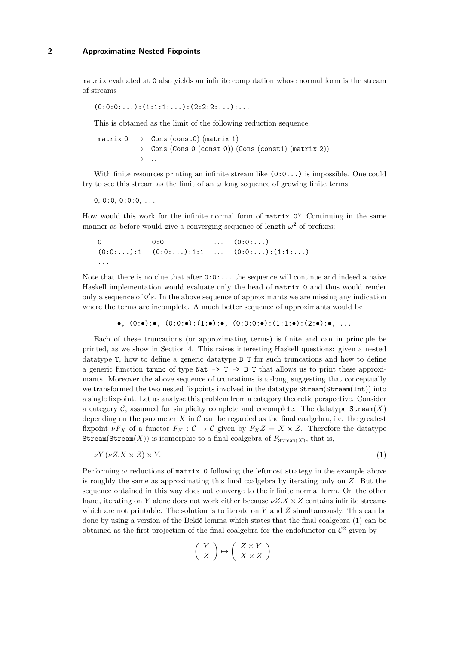matrix evaluated at 0 also yields an infinite computation whose normal form is the stream of streams

$$
(0:0:0:\ldots):(1:1:1:\ldots):(2:2:2:\ldots):\ldots
$$

This is obtained as the limit of the following reduction sequence:

matrix  $0 \rightarrow$  Cons (const0) (matrix 1)  $\rightarrow$  Cons (Cons 0 (const 0)) (Cons (const1) (matrix 2)) → *. . .*

With finite resources printing an infinite stream like  $(0:0...)$  is impossible. One could try to see this stream as the limit of an  $\omega$  long sequence of growing finite terms

 $0, 0:0, 0:0:0, \ldots$ 

How would this work for the infinite normal form of matrix 0? Continuing in the same manner as before would give a converging sequence of length  $\omega^2$  of prefixes:

```
0 0:0 ... (0:0:...)(0:0:\ldots):1 (0:0:\ldots):1:1 \ldots (0:0:\ldots):(1:1:\ldots)...
```
Note that there is no clue that after 0:0:... the sequence will continue and indeed a naive Haskell implementation would evaluate only the head of matrix 0 and thus would render only a sequence of  $0's$ . In the above sequence of approximants we are missing any indication where the terms are incomplete. A much better sequence of approximants would be

```
\bullet, (0:\bullet):\bullet, (0:0:\bullet):(1:\bullet):\bullet, (0:0:0:\bullet):(1:1:\bullet):(2:\bullet):\bullet, ...
```
Each of these truncations (or approximating terms) is finite and can in principle be printed, as we show in Section [4.](#page-10-0) This raises interesting Haskell questions: given a nested datatype T, how to define a generic datatype B T for such truncations and how to define a generic function trunc of type Nat  $\rightarrow$  T  $\rightarrow$  B T that allows us to print these approximants. Moreover the above sequence of truncations is  $\omega$ -long, suggesting that conceptually we transformed the two nested fixpoints involved in the datatype  $\texttt{Stream}(\texttt{Stream}(\texttt{Int}))$  into a single fixpoint. Let us analyse this problem from a category theoretic perspective. Consider a category  $\mathcal{C}$ , assumed for simplicity complete and cocomplete. The datatype  $\text{Stream}(X)$ depending on the parameter  $X$  in  $C$  can be regarded as the final coalgebra, i.e. the greatest fixpoint  $\nu F_X$  of a functor  $F_X : C \to C$  given by  $F_X Z = X \times Z$ . Therefore the datatype  $\texttt{Stream}(\texttt{Stream}(X))$  is isomorphic to a final coalgebra of  $F_{\texttt{Stream}(X)}$ , that is,

$$
\nu Y.(\nu Z. X \times Z) \times Y. \tag{1}
$$

Performing *ω* reductions of matrix 0 following the leftmost strategy in the example above is roughly the same as approximating this final coalgebra by iterating only on *Z*. But the sequence obtained in this way does not converge to the infinite normal form. On the other hand, iterating on *Y* alone does not work either because  $\nu Z.X \times Z$  contains infinite streams which are not printable. The solution is to iterate on *Y* and *Z* simultaneously. This can be done by using a version of the Bekič lemma which states that the final coalgebra [\(1\)](#page-1-0) can be obtained as the first projection of the final coalgebra for the endofunctor on  $\mathcal{C}^2$  given by

<span id="page-1-0"></span>
$$
\left(\begin{array}{c} Y \\ Z \end{array}\right) \mapsto \left(\begin{array}{c} Z \times Y \\ X \times Z \end{array}\right).
$$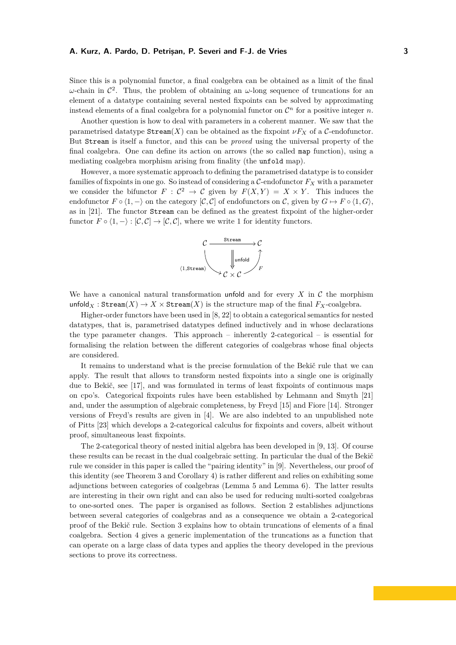Since this is a polynomial functor, a final coalgebra can be obtained as a limit of the final  $ω$ -chain in  $\mathcal{C}^2$ . Thus, the problem of obtaining an  $ω$ -long sequence of truncations for an element of a datatype containing several nested fixpoints can be solved by approximating instead elements of a final coalgebra for a polynomial functor on  $\mathcal{C}^n$  for a positive integer *n*.

Another question is how to deal with parameters in a coherent manner. We saw that the parametrised datatype  $\text{Stream}(X)$  can be obtained as the fixpoint  $\nu F_X$  of a C-endofunctor. But Stream is itself a functor, and this can be *proved* using the universal property of the final coalgebra. One can define its action on arrows (the so called map function), using a mediating coalgebra morphism arising from finality (the unfold map).

However, a more systematic approach to defining the parametrised datatype is to consider families of fixpoints in one go. So instead of considering a  $C$ -endofunctor  $F_X$  with a parameter we consider the bifunctor  $F: \mathcal{C}^2 \to \mathcal{C}$  given by  $F(X,Y) = X \times Y$ . This induces the endofunctor  $F \circ (1, -)$  on the category  $[\mathcal{C}, \mathcal{C}]$  of endofunctors on  $\mathcal{C}$ , given by  $G \mapsto F \circ (1, G)$ , as in [\[21\]](#page-15-1). The functor Stream can be defined as the greatest fixpoint of the higher-order functor  $F \circ \langle 1, -\rangle : [\mathcal{C}, \mathcal{C}] \to [\mathcal{C}, \mathcal{C}]$ , where we write 1 for identity functors.



We have a canonical natural transformation unfold and for every  $X$  in  $C$  the morphism unfold<sub>*X*</sub> : Stream(*X*)  $\rightarrow$  *X* × Stream(*X*) is the structure map of the final *F*<sub>*X*</sub>-coalgebra.

Higher-order functors have been used in [\[8,](#page-15-2) [22\]](#page-15-3) to obtain a categorical semantics for nested datatypes, that is, parametrised datatypes defined inductively and in whose declarations the type parameter changes. This approach – inherently 2-categorical – is essential for formalising the relation between the different categories of coalgebras whose final objects are considered.

It remains to understand what is the precise formulation of the Bekič rule that we can apply. The result that allows to transform nested fixpoints into a single one is originally due to Bekič, see [\[17\]](#page-15-4), and was formulated in terms of least fixpoints of continuous maps on cpo's. Categorical fixpoints rules have been established by Lehmann and Smyth [\[21\]](#page-15-1) and, under the assumption of algebraic completeness, by Freyd [\[15\]](#page-15-5) and Fiore [\[14\]](#page-15-6). Stronger versions of Freyd's results are given in [\[4\]](#page-15-7). We are also indebted to an unpublished note of Pitts [\[23\]](#page-15-8) which develops a 2-categorical calculus for fixpoints and covers, albeit without proof, simultaneous least fixpoints.

The 2-categorical theory of nested initial algebra has been developed in [\[9,](#page-15-9) [13\]](#page-15-10). Of course these results can be recast in the dual coalgebraic setting. In particular the dual of the Bekič rule we consider in this paper is called the "pairing identity" in [\[9\]](#page-15-9). Nevertheless, our proof of this identity (see Theorem [3](#page-5-0) and Corollary [4\)](#page-5-1) is rather different and relies on exhibiting some adjunctions between categories of coalgebras (Lemma [5](#page-6-0) and Lemma [6\)](#page-6-1). The latter results are interesting in their own right and can also be used for reducing multi-sorted coalgebras to one-sorted ones. The paper is organised as follows. Section [2](#page-3-0) establishes adjunctions between several categories of coalgebras and as a consequence we obtain a 2-categorical proof of the Bekič rule. Section [3](#page-7-0) explains how to obtain truncations of elements of a final coalgebra. Section [4](#page-10-0) gives a generic implementation of the truncations as a function that can operate on a large class of data types and applies the theory developed in the previous sections to prove its correctness.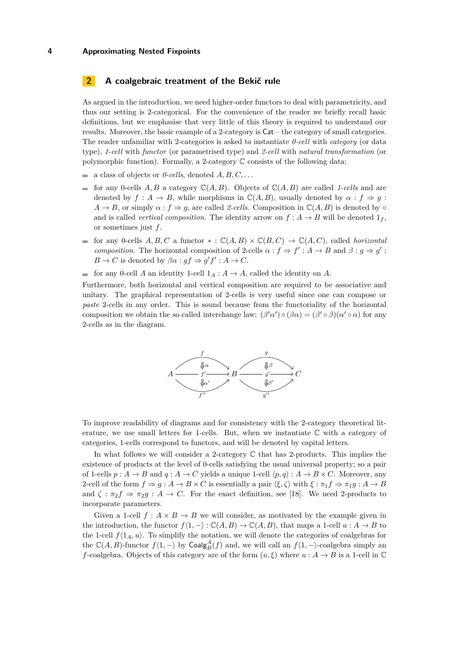## <span id="page-3-0"></span>**2 A coalgebraic treatment of the Bekič rule**

As argued in the introduction, we need higher-order functors to deal with parametricity, and thus our setting is 2-categorical. For the convenience of the reader we briefly recall basic definitions, but we emphasise that very little of this theory is required to understand our results. Moreover, the basic example of a 2-category is Cat – the category of small categories. The reader unfamiliar with 2-categories is asked to instantiate *0-cell* with *category* (or data type), *1-cell* with *functor* (or parametrised type) and *2-cell* with *natural transformation* (or polymorphic function). Formally, a 2-category C consists of the following data:

- a class of objects or  $\theta$ -cells, denoted  $A, B, C, \ldots$
- for any 0-cells *A, B* a category  $\mathbb{C}(A, B)$ . Objects of  $\mathbb{C}(A, B)$  are called *1-cells* and are denoted by  $f: A \to B$ , while morphisms in  $\mathbb{C}(A, B)$ , usually denoted by  $\alpha: f \Rightarrow q$ :  $A \rightarrow B$ , or simply  $\alpha : f \Rightarrow g$ , are called *2-cells*. Composition in  $\mathbb{C}(A, B)$  is denoted by  $\circ$ and is called *vertical composition*. The identity arrow on  $f : A \rightarrow B$  will be denoted  $1_f$ , or sometimes just *f*.
- for any 0-cells  $A, B, C$  a functor  $* : \mathbb{C}(A, B) \times \mathbb{C}(B, C) \rightarrow \mathbb{C}(A, C)$ , called *horizontal*  $\sim$ *composition*. The horizontal composition of 2-cells  $\alpha : f \Rightarrow f' : A \rightarrow B$  and  $\beta : g \Rightarrow g'$ :  $B \to C$  is denoted by  $\beta \alpha : gf \Rightarrow g'f' : A \to C$ .
- for any 0-cell *A* an identity 1-cell  $1_A : A \to A$ , called the identity on *A*.

Furthermore, both horizontal and vertical composition are required to be associative and unitary. The graphical representation of 2-cells is very useful since one can compose or *paste* 2-cells in any order. This is sound because from the functoriality of the horizontal composition we obtain the so called interchange law:  $(\beta' \alpha') \circ (\beta \alpha) = (\beta' \circ \beta)(\alpha' \circ \alpha)$  for any 2-cells as in the diagram.



To improve readability of diagrams and for consistency with the 2-category theoretical literature, we use small letters for 1-cells. But, when we instantiate  $\mathbb C$  with a category of categories, 1-cells correspond to functors, and will be denoted by capital letters.

In what follows we will consider a 2-category  $\mathbb C$  that has 2-products. This implies the existence of products at the level of 0-cells satisfying the usual universal property; so a pair of 1-cells  $p : A \to B$  and  $q : A \to C$  yields a unique 1-cell  $\langle p, q \rangle : A \to B \times C$ . Moreover, any 2-cell of the form  $f \Rightarrow g : A \rightarrow B \times C$  is essentially a pair  $\langle \xi, \zeta \rangle$  with  $\xi : \pi_1 f \Rightarrow \pi_1 g : A \rightarrow B$ and  $\zeta : \pi_2 f \Rightarrow \pi_2 g : A \to C$ . For the exact definition, see [\[18\]](#page-15-11). We need 2-products to incorporate parameters.

Given a 1-cell  $f : A \times B \to B$  we will consider, as motivated by the example given in the introduction, the functor  $f(1, -): \mathbb{C}(A, B) \to \mathbb{C}(A, B)$ , that maps a 1-cell  $u : A \to B$  to the 1-cell  $f(1_A, u)$ . To simplify the notation, we will denote the categories of coalgebras for the  $\mathbb{C}(A, B)$ -functor  $f(1, -)$  by Coalg $_A^A(f)$  and, we will call an  $f(1, -)$ -coalgebra simply an *f*-coalgebra. Objects of this category are of the form  $(u, \xi)$  where  $u : A \to B$  is a 1-cell in  $\mathbb C$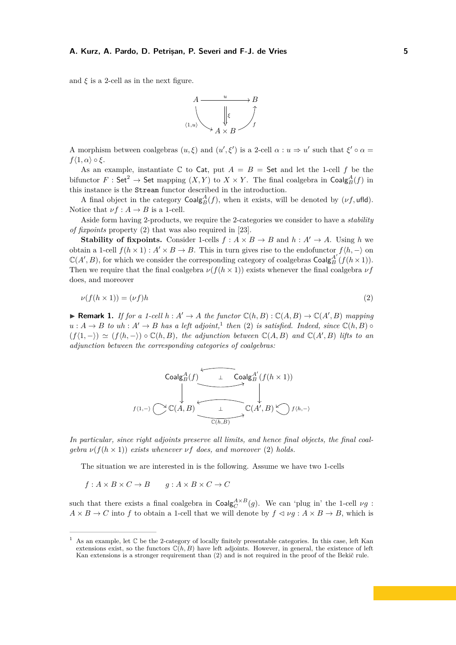and  $\xi$  is a 2-cell as in the next figure.



A morphism between coalgebras  $(u, \xi)$  and  $(u', \xi')$  is a 2-cell  $\alpha : u \Rightarrow u'$  such that  $\xi' \circ \alpha =$  $f\langle 1, \alpha \rangle \circ \xi$ .

As an example, instantiate  $\mathbb C$  to Cat, put  $A = B =$  Set and let the 1-cell f be the bifunctor  $F: \mathsf{Set}^2 \to \mathsf{Set}$  mapping  $(X, Y)$  to  $X \times Y$ . The final coalgebra in  $\mathsf{Coalg}^A_B(f)$  in this instance is the Stream functor described in the introduction.

A final object in the category  $\text{Coalg}_{B}^{A}(f)$ , when it exists, will be denoted by  $(\nu f, \text{ufld})$ . Notice that  $\nu f : A \to B$  is a 1-cell.

Aside form having 2-products, we require the 2-categories we consider to have a *stability of fixpoints* property [\(2\)](#page-4-0) that was also required in [\[23\]](#page-15-8).

**Stability of fixpoints.** Consider 1-cells  $f : A \times B \rightarrow B$  and  $h : A' \rightarrow A$ . Using h we obtain a 1-cell  $f(h \times 1)$ :  $A' \times B \to B$ . This in turn gives rise to the endofunctor  $f(h, -)$  on  $\mathbb{C}(A',B)$ , for which we consider the corresponding category of coalgebras  $\mathsf{Coalg}^{A'}_B(f(h \times 1))$ . Then we require that the final coalgebra  $\nu(f(h \times 1))$  exists whenever the final coalgebra  $\nu f$ does, and moreover

<span id="page-4-0"></span>
$$
\nu(f(h \times 1)) = (\nu f)h\tag{2}
$$

▶ **Remark 1.** *If for a 1-cell*  $h : A' \to A$  *the functor*  $\mathbb{C}(h, B) : \mathbb{C}(A, B) \to \mathbb{C}(A', B)$  *mapping*  $u : A \to B$  *to*  $u h : A' \to B$  *has a left adjoint*,<sup>[1](#page-0-0)</sup> *then* [\(2\)](#page-4-0) *is satisfied. Indeed, since*  $\mathbb{C}(h, B) \circ$  $(f(1,-)) \simeq (f(h,-)) \circ \mathbb{C}(h,B)$ , the adjunction between  $\mathbb{C}(A,B)$  and  $\mathbb{C}(A',B)$  lifts to an *adjunction between the corresponding categories of coalgebras:*

$$
\begin{array}{ccc}\n\text{Coalg}_{B}^{A}(f) & \xrightarrow{\mathsf{Coalg}_{B}^{A'}(f(h \times 1))} \\
\downarrow^{\mathsf{Coalg}_{B}^{A'}(f(h \times 1))} & \downarrow^{\mathsf{Coalg}_{B}^{A'}(f(h \times 1))} \\
\downarrow^{\mathsf{C}(A, B)} & \xrightarrow{\mathsf{C}(A', B) \searrow^{\mathsf{C}(h, \mathsf{C})}} f\langle h, \neg \rangle^{\mathsf{C}(A', B)}\n\end{array}
$$

*In particular, since right adjoints preserve all limits, and hence final objects, the final coalgebra*  $\nu(f(h \times 1))$  *exists whenever*  $\nu f$  *does, and moreover* [\(2\)](#page-4-0) *holds.* 

The situation we are interested in is the following. Assume we have two 1-cells

 $f: A \times B \times C \rightarrow B$   $g: A \times B \times C \rightarrow C$ 

such that there exists a final coalgebra in  $\text{Coalg}_{C}^{A \times B}(g)$ . We can 'plug in' the 1-cell  $\nu g$ :  $A \times B \to C$  into *f* to obtain a 1-cell that we will denote by  $f \prec \nu g : A \times B \to B$ , which is

As an example, let  $\mathbb C$  be the 2-category of locally finitely presentable categories. In this case, left Kan extensions exist, so the functors  $\mathbb{C}(h, B)$  have left adjoints. However, in general, the existence of left Kan extensions is a stronger requirement than [\(2\)](#page-4-0) and is not required in the proof of the Bekič rule.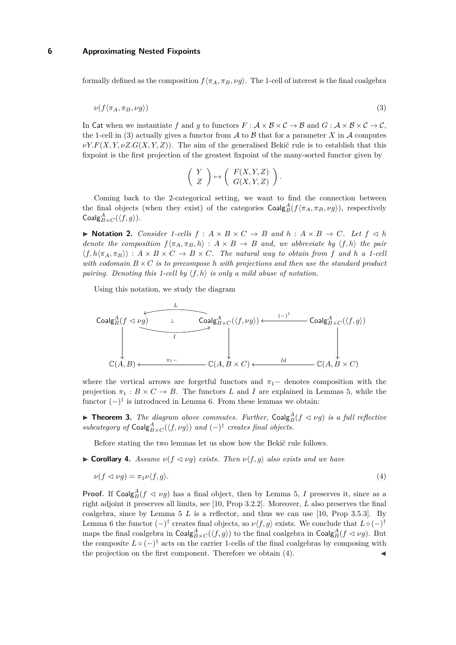<span id="page-5-2"></span>formally defined as the composition  $f\langle \pi_A, \pi_B, \nu g \rangle$ . The 1-cell of interest is the final coalgebra

$$
\nu(f\langle \pi_A, \pi_B, \nu g \rangle) \tag{3}
$$

In Cat when we instantiate f and q to functors  $F: \mathcal{A} \times \mathcal{B} \times \mathcal{C} \to \mathcal{B}$  and  $G: \mathcal{A} \times \mathcal{B} \times \mathcal{C} \to \mathcal{C}$ . the 1-cell in [\(3\)](#page-5-2) actually gives a functor from  $A$  to  $B$  that for a parameter  $X$  in  $A$  computes  $\nu Y.F(X, Y, \nu Z.G(X, Y, Z))$ . The aim of the generalised Bekič rule is to establish that this fixpoint is the first projection of the greatest fixpoint of the many-sorted functor given by

$$
\left(\begin{array}{c} Y \\ Z \end{array}\right) \mapsto \left(\begin{array}{c} F(X,Y,Z) \\ G(X,Y,Z) \end{array}\right).
$$

Coming back to the 2-categorical setting, we want to find the connection between the final objects (when they exist) of the categories  $\text{Coalg}_{B}^{A}(f\langle\pi_{A},\pi_{B},\nu g\rangle)$ , respectively  $\mathsf{Coalg}^A_{B \times C}(\langle f, g \rangle).$ 

 $\triangleright$  **Notation 2.** *Consider 1-cells*  $f : A \times B \times C \rightarrow B$  *and*  $h : A \times B \rightarrow C$ *. Let*  $f \triangleleft h$ *denote the composition*  $f\langle \pi_A, \pi_B, h \rangle : A \times B \to B$  *and, we abbreviate by*  $\langle f, h \rangle$  *the pair*  $\langle f, h\langle \pi_A, \pi_B \rangle \rangle : A \times B \times C \rightarrow B \times C$ . The natural way to obtain from f and h a 1-cell *with codomain*  $B \times C$  *is to precompose h with projections and then use the standard product pairing. Denoting this 1-cell by*  $\langle f, h \rangle$  *is only a mild abuse of notation.* 

Using this notation, we study the diagram



where the vertical arrows are forgetful functors and  $\pi_1$  – denotes composition with the projection  $\pi_1 : B \times C \to B$ . The functors *L* and *I* are explained in Lemmas [5,](#page-6-0) while the functor  $(-)$ <sup>†</sup> is introduced in Lemma [6.](#page-6-1) From these lemmas we obtain:

<span id="page-5-0"></span>**Fineorem 3.** The diagram above commutes. Further,  $\text{Coalg}_B^A(f \vartriangleleft \nu g)$  is a full reflective *subcategory of*  $\textsf{Coalg}_{B \times C}^A(\langle f, \nu g \rangle)$  *and*  $(-)^{\dagger}$  *creates final objects.* 

<span id="page-5-3"></span>Before stating the two lemmas let us show how the Bekič rule follows.

<span id="page-5-1"></span> $\triangleright$  **Corollary 4.** *Assume*  $\nu(f \triangleleft \nu g)$  *exists. Then*  $\nu \langle f, g \rangle$  *also exists and we have* 

$$
\nu(f \lhd \nu g) = \pi_1 \nu \langle f, g \rangle. \tag{4}
$$

**Proof.** If Coalg $_A^A(f \triangleleft \nu g)$  has a final object, then by Lemma [5,](#page-6-0) *I* preserves it, since as a right adjoint it preserves all limits, see [\[10,](#page-15-12) Prop 3.2.2]. Moreover, *L* also preserves the final coalgebra, since by Lemma [5](#page-6-0) *L* is a reflector, and thus we can use [\[10,](#page-15-12) Prop 3.5.3]. By Lemma [6](#page-6-1) the functor  $(-)$ <sup>†</sup> creates final objects, so  $\nu \langle f, g \rangle$  exists. We conclude that  $L \circ (-)$ <sup>†</sup> maps the final coalgebra in  $\mathsf{Coalg}^A_{B \times C}(\langle f, g \rangle)$  to the final coalgebra in  $\mathsf{Coalg}^A_B(f \lhd \nu g)$ . But the composite  $L \circ (-)^{\dagger}$  acts on the carrier 1-cells of the final coalgebras by composing with the projection on the first component. Therefore we obtain  $(4)$ .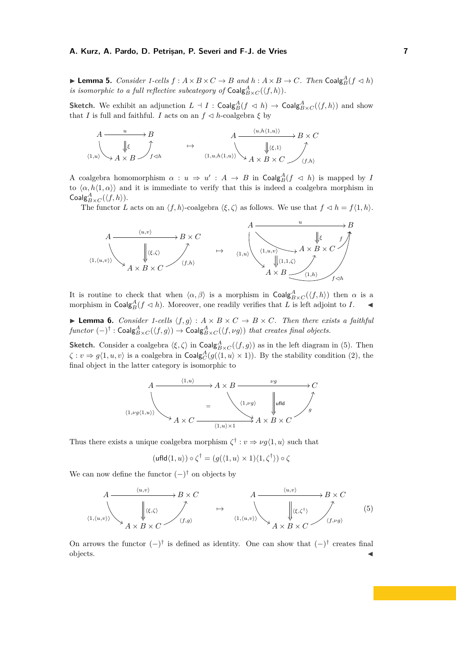<span id="page-6-0"></span> $\blacktriangleright$  **Lemma 5.** *Consider 1-cells*  $f : A \times B \times C \to B$  *and*  $h : A \times B \to C$ *. Then* Coalg $_A^A(f \triangleleft h)$ *is isomorphic to a full reflective subcategory of*  $\textsf{Coalg}^A_{B \times C}(\langle f, h \rangle)$ .

**Sketch.** We exhibit an adjunction  $L \dashv I$  :  $\textsf{Coalg}^A_B(f \vartriangleleft h) \to \textsf{Coalg}^A_{B \times C}(\langle f, h \rangle)$  and show that *I* is full and faithful. *I* acts on an  $f \leq h$ -coalgebra  $\xi$  by

$$
\begin{array}{ccc}\nA & \xrightarrow{u} & B \\
\downarrow & & \downarrow & \\
\langle 1, u \rangle & \searrow & A \times B\n\end{array}\n\quad \rightarrow \quad\n\begin{array}{ccc}\nA & \xrightarrow{\langle u, h \langle 1, u \rangle \rangle} & B \times C \\
\downarrow & & \downarrow & \\
\langle 1, u, h \langle 1, u \rangle \rangle & \searrow & A \times B \times C\n\end{array}
$$

A coalgebra homomorphism  $\alpha: u \Rightarrow u': A \rightarrow B$  in  $\text{Coalg}_B^A(f \prec h)$  is mapped by *I* to  $\langle \alpha, h \langle 1, \alpha \rangle \rangle$  and it is immediate to verify that this is indeed a coalgebra morphism in  $\mathsf{Coalg}_{B \times C}^A(\langle f, h \rangle).$ 

The functor *L* acts on an  $\langle f, h \rangle$ -coalgebra  $\langle \xi, \zeta \rangle$  as follows. We use that  $f \prec h = f\langle 1, h \rangle$ .



It is routine to check that when  $\langle \alpha, \beta \rangle$  is a morphism in Coalg ${}_{B \times C}^A(\langle f, h \rangle)$  then  $\alpha$  is a morphism in Coalg $^A_B(f \triangleleft h)$ . Moreover, one readily verifies that *L* is left adjoint to *I*.

<span id="page-6-1"></span>**Lemma 6.** *Consider 1-cells*  $\langle f, g \rangle : A \times B \times C \rightarrow B \times C$ *. Then there exists a faithful*  $functor\ (-)^\dagger: \mathsf{Coalg}^A_{B \times C}(\langle f, g \rangle) \rightarrow \mathsf{Coalg}^A_{B \times C}(\langle f, \nu g \rangle)$  that creates final objects.

**Sketch.** Consider a coalgebra  $\langle \xi, \zeta \rangle$  in  $\text{Coalg}_{B \times C}^A(\langle f, g \rangle)$  as in the left diagram in [\(5\)](#page-6-2). Then  $\zeta : v \Rightarrow g\langle 1, u, v \rangle$  is a coalgebra in  $\text{Coalg}_{C}^A(g(\langle 1, u \rangle \times 1))$ . By the stability condition [\(2\)](#page-4-0), the final object in the latter category is isomorphic to



Thus there exists a unique coalgebra morphism  $\zeta^{\dagger}$  :  $v \Rightarrow \nu g\langle 1, u \rangle$  such that

<span id="page-6-2"></span>
$$
(\text{ufld}\langle 1, u \rangle) \circ \zeta^{\dagger} = (g(\langle 1, u \rangle \times 1)\langle 1, \zeta^{\dagger} \rangle) \circ \zeta
$$

We can now define the functor  $(-)$ <sup>†</sup> on objects by



On arrows the functor  $(-)$ <sup>†</sup> is defined as identity. One can show that  $(-)$ <sup>†</sup> creates final objects. J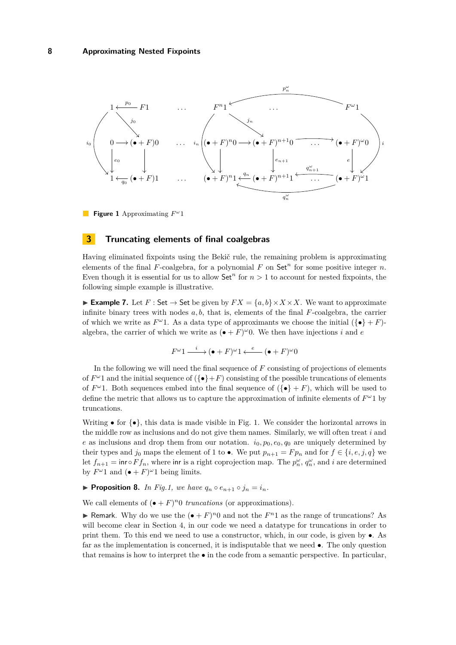<span id="page-7-1"></span>

**Figure 1** Approximating *F ω* 1

## <span id="page-7-0"></span>**3 Truncating elements of final coalgebras**

Having eliminated fixpoints using the Bekič rule, the remaining problem is approximating elements of the final  $F$ -coalgebra, for a polynomial  $F$  on  $Set<sup>n</sup>$  for some positive integer  $n$ . Even though it is essential for us to allow  $\mathsf{Set}^n$  for  $n > 1$  to account for nested fixpoints, the following simple example is illustrative.

**Example 7.** Let  $F : \mathsf{Set} \to \mathsf{Set}$  be given by  $FX = \{a, b\} \times X \times X$ . We want to approximate infinite binary trees with nodes *a, b*, that is, elements of the final *F*-coalgebra, the carrier of which we write as  $F^{\omega}$ 1. As a data type of approximants we choose the initial  $({\lbrace \bullet \rbrace} + F)$ algebra, the carrier of which we write as  $(\bullet + F)^\omega 0$ . We then have injections *i* and *e* 

$$
F^{\omega}1 \xrightarrow{i} (\bullet + F)^{\omega}1 \xleftarrow{e} (\bullet + F)^{\omega}0
$$

In the following we will need the final sequence of *F* consisting of projections of elements of  $F^{\omega}$ 1 and the initial sequence of  $(\{\bullet\}+F)$  consisting of the possible truncations of elements of  $F^{\omega}$ 1. Both sequences embed into the final sequence of  $(\{\bullet\} + F)$ , which will be used to define the metric that allows us to capture the approximation of infinite elements of  $F^{\omega_1}$  by truncations.

Writing • for  $\{\bullet\}$ , this data is made visible in Fig. [1.](#page-7-1) We consider the horizontal arrows in the middle row as inclusions and do not give them names. Similarly, we will often treat *i* and *e* as inclusions and drop them from our notation.  $i_0, p_0, e_0, q_0$  are uniquely determined by their types and *j*<sub>0</sub> maps the element of 1 to •. We put  $p_{n+1} = F p_n$  and for  $f \in \{i, e, j, q\}$  we let  $f_{n+1} = \text{inv } F f_n$ , where inr is a right coprojection map. The  $p_n^{\omega}$ ,  $q_n^{\omega}$ , and *i* are determined by  $F^{\omega}1$  and  $(\bullet + F)^{\omega}1$  being limits.

<span id="page-7-2"></span>
$$
\blacktriangleright \text{Proposition 8. In } Fig.1, \text{ we have } q_n \circ e_{n+1} \circ j_n = i_n.
$$

We call elements of  $(\bullet + F)^n 0$  *truncations* (or approximations).

**F** Remark. Why do we use the  $(\bullet + F)^n 0$  and not the  $F^n 1$  as the range of truncations? As will become clear in Section [4,](#page-10-0) in our code we need a datatype for truncations in order to print them. To this end we need to use a constructor, which, in our code, is given by •. As far as the implementation is concerned, it is indisputable that we need  $\bullet$ . The only question that remains is how to interpret the  $\bullet$  in the code from a semantic perspective. In particular,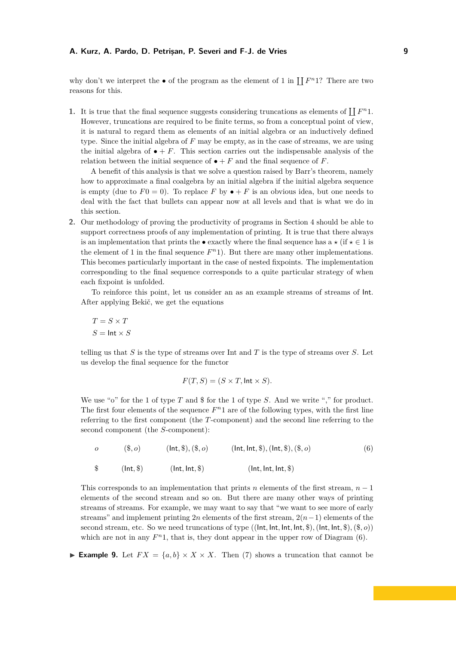why don't we interpret the  $\bullet$  of the program as the element of 1 in  $\prod F^n 1$ ? There are two reasons for this.

**1.** It is true that the final sequence suggests considering truncations as elements of  $\prod F^n 1$ . However, truncations are required to be finite terms, so from a conceptual point of view, it is natural to regard them as elements of an initial algebra or an inductively defined type. Since the initial algebra of *F* may be empty, as in the case of streams, we are using the initial algebra of  $\bullet + F$ . This section carries out the indispensable analysis of the relation between the initial sequence of  $\bullet + F$  and the final sequence of *F*.

A benefit of this analysis is that we solve a question raised by Barr's theorem, namely how to approximate a final coalgebra by an initial algebra if the initial algebra sequence is empty (due to  $F0 = 0$ ). To replace F by  $\bullet + F$  is an obvious idea, but one needs to deal with the fact that bullets can appear now at all levels and that is what we do in this section.

**2.** Our methodology of proving the productivity of programs in Section [4](#page-10-0) should be able to support correctness proofs of any implementation of printing. It is true that there always is an implementation that prints the • exactly where the final sequence has  $a \star (if \star \in 1$  is the element of 1 in the final sequence  $F<sup>n</sup>1$ ). But there are many other implementations. This becomes particularly important in the case of nested fixpoints. The implementation corresponding to the final sequence corresponds to a quite particular strategy of when each fixpoint is unfolded.

To reinforce this point, let us consider an as an example streams of streams of  $Int$ . After applying Bekič, we get the equations

$$
T = S \times T
$$

$$
S = \text{Int} \times S
$$

telling us that *S* is the type of streams over Int and *T* is the type of streams over *S*. Let us develop the final sequence for the functor

<span id="page-8-0"></span>
$$
F(T, S) = (S \times T, \text{Int} \times S).
$$

We use "o" for the 1 of type *T* and \$ for the 1 of type *S*. And we write "," for product. The first four elements of the sequence  $F<sup>n</sup>1$  are of the following types, with the first line referring to the first component (the *T*-component) and the second line referring to the second component (the *S*-component):

*o* (\$*, o*) (Int*,* \$)*,*(\$*, o*) (Int*,* Int*,* \$)*,*(Int*,* \$)*,*(\$*, o*) \$ (Int*,* \$) (Int*,* Int*,* \$) (Int*,* Int*,* Int*,* \$) (6)

This corresponds to an implementation that prints *n* elements of the first stream,  $n-1$ elements of the second stream and so on. But there are many other ways of printing streams of streams. For example, we may want to say that "we want to see more of early streams" and implement printing 2*n* elements of the first stream, 2(*n*−1) elements of the second stream, etc. So we need truncations of type ((Int*,* Int*,* Int*,* Int*,* \$)*,*(Int*,* Int*,* \$)*,*(\$*, o*)) which are not in any  $F<sup>n</sup>1$ , that is, they dont appear in the upper row of Diagram  $(6)$ .

**Example 9.** Let  $FX = \{a, b\} \times X \times X$ . Then [\(7\)](#page-9-0) shows a truncation that cannot be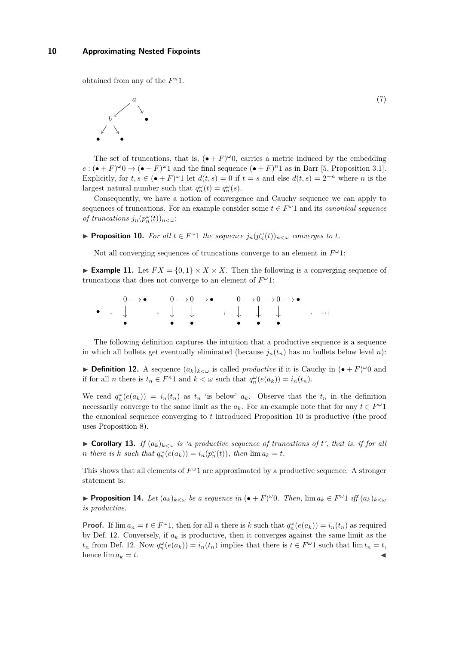obtained from any of the  $F^n$ 1.

<span id="page-9-0"></span>

The set of truncations, that is,  $(\bullet + F)^{\omega}0$ , carries a metric induced by the embedding  $e:(\bullet + F)^{\omega}0 \rightarrow (\bullet + F)^{\omega}1$  and the final sequence  $(\bullet + F)^{n}1$  as in Barr [\[5,](#page-15-13) Proposition 3.1]. Explicitly, for  $t, s \in (\bullet + F)^{\omega}1$  let  $d(t, s) = 0$  if  $t = s$  and else  $d(t, s) = 2^{-n}$  where *n* is the largest natural number such that  $q_n^{\omega}(t) = q_n^{\omega}(s)$ .

(7)

Consequently, we have a notion of convergence and Cauchy sequence we can apply to sequences of truncations. For an example consider some  $t \in F^{\omega}1$  and its *canonical sequence of truncations*  $j_n(p_n^{\omega}(t))_{n < \omega}$ :

<span id="page-9-1"></span>▶ **Proposition 10.** *For all*  $t \in F^\omega 1$  *the sequence*  $j_n(p_n^\omega(t))_{n \lt \omega}$  *converges to t.* 

Not all converging sequences of truncations converge to an element in *F <sup>ω</sup>*1:

**Example 11.** Let  $FX = \{0, 1\} \times X \times X$ . Then the following is a converging sequence of truncations that does not converge to an element of *F <sup>ω</sup>*1:

|  |                                                                                                                     |  | $0 \longrightarrow \bullet$ $0 \longrightarrow 0 \longrightarrow \bullet$ $0 \longrightarrow 0 \longrightarrow 0 \longrightarrow 0$ |  |                               |  |  |
|--|---------------------------------------------------------------------------------------------------------------------|--|-------------------------------------------------------------------------------------------------------------------------------------|--|-------------------------------|--|--|
|  |                                                                                                                     |  | $\bullet$ , $\downarrow$ , $\downarrow$ , $\downarrow$ , $\downarrow$ , $\cdot$                                                     |  |                               |  |  |
|  | and the contract of the contract of the contract of the contract of the contract of the contract of the contract of |  |                                                                                                                                     |  | $\bullet$ $\bullet$ $\bullet$ |  |  |

The following definition captures the intuition that a productive sequence is a sequence in which all bullets get eventually eliminated (because  $j_n(t_n)$  has no bullets below level *n*):

<span id="page-9-2"></span>**Definition 12.** A sequence  $(a_k)_{k<\omega}$  is called *productive* if it is Cauchy in  $(\bullet + F)^{\omega}0$  and if for all *n* there is  $t_n \in F^n 1$  and  $k < \omega$  such that  $q_n^{\omega}(e(a_k)) = i_n(t_n)$ .

We read  $q_n^{\omega}(e(a_k)) = i_n(t_n)$  as  $t_n$  'is below'  $a_k$ . Observe that the  $t_n$  in the definition necessarily converge to the same limit as the  $a_k$ . For an example note that for any  $t \in F^{\omega}1$ the canonical sequence converging to *t* introduced Proposition [10](#page-9-1) is productive (the proof uses Proposition [8\)](#page-7-2).

► **Corollary 13.** *If*  $(a_k)_{k \leq w}$  *is 'a productive sequence of truncations of t', that is, if for all n* there is *k* such that  $q_n^{\omega}(e(a_k)) = i_n(p_n^{\omega}(t))$ , then  $\lim a_k = t$ .

This shows that all elements of  $F^{\omega}1$  are approximated by a productive sequence. A stronger statement is:

<span id="page-9-3"></span>▶ **Proposition 14.** Let  $(a_k)_{k < \omega}$  be a sequence in  $(\bullet + F)^{\omega}0$ . Then,  $\lim a_k \in F^{\omega}1$  iff  $(a_k)_{k < \omega}$ *is productive.*

**Proof.** If  $\lim a_n = t \in F^{\omega}$ , then for all *n* there is *k* such that  $q_n^{\omega}(e(a_k)) = i_n(t_n)$  as required by Def. [12.](#page-9-2) Conversely, if  $a_k$  is productive, then it converges against the same limit as the *t*<sub>n</sub> from Def. [12.](#page-9-2) Now  $q_n^{\omega}(e(a_k)) = i_n(t_n)$  implies that there is  $t \in F^{\omega}1$  such that  $\lim t_n = t$ , hence  $\lim a_k = t$ .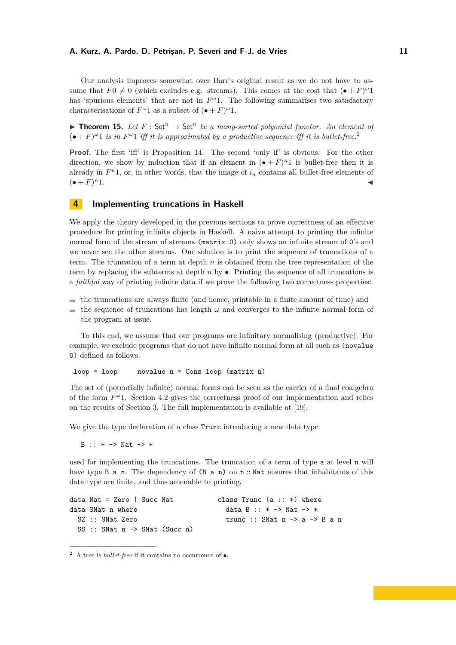Our analysis improves somewhat over Barr's original result as we do not have to assume that  $F0 \neq 0$  (which excludes e.g. streams). This comes at the cost that  $(\bullet + F)^{\omega}1$ has 'spurious elements' that are not in  $F^{\omega}$ 1. The following summarises two satisfactory characterisations of  $F^{\omega}1$  as a subset of  $(\bullet + F)^{\omega}1$ .

<span id="page-10-1"></span>**Theorem 15.** Let  $F : \mathsf{Set}^n \to \mathsf{Set}^n$  be a many-sorted polyomial functor. An element of  $(\bullet + F)^{\omega}$  1 *is in*  $F^{\omega}$  1 *iff it is approximated by a productive sequence iff it is bullet-free.*<sup>[2](#page-0-0)</sup>

**Proof.** The first 'iff' is Proposition [14.](#page-9-3) The second 'only if' is obvious. For the other direction, we show by induction that if an element in  $(\bullet + F)^{n}1$  is bullet-free then it is already in  $F<sup>n</sup>1$ , or, in other words, that the image of  $i<sub>n</sub>$  contains all bullet-free elements of  $({\bullet} + F)^n 1.$  $n_1$ .

## <span id="page-10-0"></span>**4 Implementing truncations in Haskell**

We apply the theory developed in the previous sections to prove correctness of an effective procedure for printing infinite objects in Haskell. A naive attempt to printing the infinite normal form of the stream of streams (matrix 0) only shows an infinite stream of 0's and we never see the other streams. Our solution is to print the sequence of truncations of a term. The truncation of a term at depth *n* is obtained from the tree representation of the term by replacing the subterms at depth *n* by •. Printing the sequence of all truncations is a *faithful* way of printing infinite data if we prove the following two correctness properties:

- $\blacksquare$  the truncations are always finite (and hence, printable in a finite amount of time) and
- the sequence of truncations has length  $\omega$  and converges to the infinite normal form of  $\sim$ the program at issue.

To this end, we assume that our programs are infinitary normalising (productive). For example, we exclude programs that do not have infinite normal form at all such as (novalue 0) defined as follows.

 $loop = loop$  novalue  $n = Cons$  loop (matrix n)

The set of (potentially infinite) normal forms can be seen as the carrier of a final coalgebra of the form  $F^{\omega}$ 1. Section [4.2](#page-13-0) gives the correctness proof of our implementation and relies on the results of Section [3.](#page-7-0) The full implementation is available at [\[19\]](#page-15-14).

We give the type declaration of a class Trunc introducing a new data type

B :: \* -> Nat -> \*

used for implementing the truncations. The truncation of a term of type a at level n will have type  $B$  a n. The dependency of  $(B \nabla n)$  on n: Nat ensures that inhabitants of this data type are finite, and thus amenable to printing.

```
data Nat = Zero | Succ Nat class Trunc (a :: *) where
data SNat n where \frac{1}{1} data B :: * -> Nat -> *
 SZ :: SNat Zero t trunc :: SNat n -> a -> B a n
 SS :: SNat n -> SNat (Succ n)
```
<sup>2</sup> A tree is *bullet-free* if it contains no occurrence of •.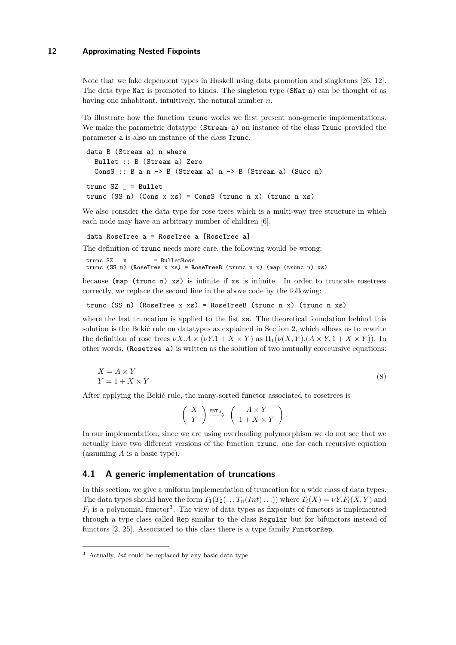Note that we fake dependent types in Haskell using data promotion and singletons [\[26,](#page-15-15) [12\]](#page-15-16). The data type Nat is promoted to kinds. The singleton type (SNat n) can be thought of as having one inhabitant, intuitively, the natural number *n*.

To illustrate how the function trunc works we first present non-generic implementations. We make the parametric datatype (Stream a) an instance of the class Trunc provided the parameter a is also an instance of the class Trunc.

data B (Stream a) n where Bullet :: B (Stream a) Zero ConsS :: B a n  $\rightarrow$  B (Stream a) n  $\rightarrow$  B (Stream a) (Succ n)  $true$   $SZ$  = Bullet trunc (SS n) (Cons x xs) = ConsS (trunc n x) (trunc n xs)

We also consider the data type for rose trees which is a multi-way tree structure in which each node may have an arbitrary number of children [\[6\]](#page-15-17).

data RoseTree a = RoseTree a [RoseTree a]

The definition of trunc needs more care, the following would be wrong:

```
trunc SZ x = BulletRose
trunc (SS n) (RoseTree x xs) = RoseTreeB (trunc n x) (map (trunc n) xs)
```
because  $(\text{map}(\text{trunc } n) \times s)$  is infinite if  $x s$  is infinite. In order to truncate rosetrees correctly, we replace the second line in the above code by the following:

trunc (SS n) (RoseTree x xs) = RoseTreeB (trunc n x) (trunc n xs)

where the last truncation is applied to the list xs. The theoretical foundation behind this solution is the Bekič rule on datatypes as explained in Section [2,](#page-3-0) which allows us to rewrite the definition of rose trees  $\nu X.A \times (\nu Y.1 + X \times Y)$  as  $\Pi_1(\nu(X, Y).(A \times Y, 1 + X \times Y))$ . In other words, (Rosetree a) is written as the solution of two mutually corecursive equations:

$$
X = A \times Y
$$
  
 
$$
Y = 1 + X \times Y
$$
 (8)

After applying the Bekič rule, the many-sorted functor associated to rosetrees is

$$
\left(\begin{array}{c} X \\ Y \end{array}\right) \stackrel{\text{FRT}_A}{\longrightarrow} \left(\begin{array}{c} A \times Y \\ 1 + X \times Y \end{array}\right).
$$

In our implementation, since we are using overloading polymorphism we do not see that we actually have two different versions of the function trunc, one for each recursive equation (assuming *A* is a basic type).

## <span id="page-11-0"></span>**4.1 A generic implementation of truncations**

In this section, we give a uniform implementation of truncation for a wide class of data types. The data types should have the form  $T_1(T_2(\ldots T_n(Int)\ldots))$  where  $T_i(X) = \nu Y.F_i(X, Y)$  and  $F_i$  is a polynomial functor<sup>[3](#page-0-0)</sup>. The view of data types as fixpoints of functors is implemented through a type class called Rep similar to the class Regular but for bifunctors instead of functors [\[2,](#page-14-0) [25\]](#page-15-18). Associated to this class there is a type family FunctorRep.

<sup>3</sup> Actually, *Int* could be replaced by any basic data type.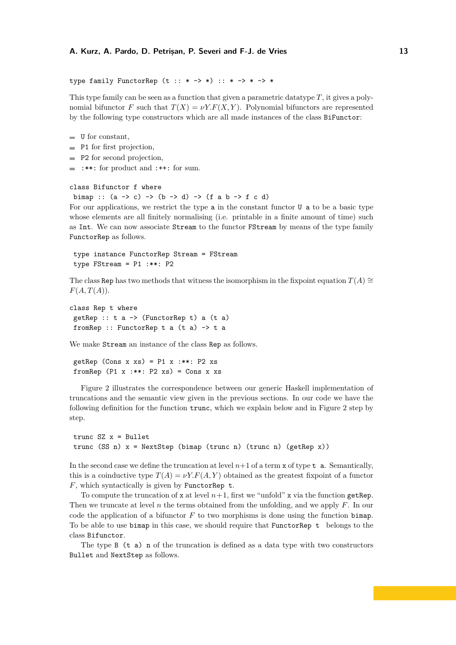```
type family FunctorRep (t : : * -> *) : : * -> * -> *
```
This type family can be seen as a function that given a parametric datatype *T*, it gives a polynomial bifunctor *F* such that  $T(X) = \nu Y.F(X, Y)$ . Polynomial bifunctors are represented by the following type constructors which are all made instances of the class BiFunctor:

- $\blacksquare$  U for constant,
- P1 for first projection,
- **P2** for second projection,
- $\blacksquare$  :\*\*: for product and :++: for sum.

#### class Bifunctor f where

```
bimap :: (a \rightarrow c) \rightarrow (b \rightarrow d) \rightarrow (f a b \rightarrow f c d)
```
For our applications, we restrict the type a in the constant functor U a to be a basic type whose elements are all finitely normalising (i.e. printable in a finite amount of time) such as Int. We can now associate Stream to the functor FStream by means of the type family FunctorRep as follows.

```
type instance FunctorRep Stream = FStream
type FStream = P1 :**: P2
```
The class Rep has two methods that witness the isomorphism in the fixpoint equation  $T(A) \cong$  $F(A, T(A)).$ 

```
class Rep t where
 getRep :: t a \rightarrow (FunctorRep t) a (t a)
 fromRep :: FunctorRep t a (t a) -> t a
```
We make Stream an instance of the class Rep as follows.

getRep (Cons x xs) =  $P1$  x :\*\*:  $P2$  xs fromRep  $(P1 x : **: P2 xs) = Cons x xs$ 

Figure [2](#page-13-1) illustrates the correspondence between our generic Haskell implementation of truncations and the semantic view given in the previous sections. In our code we have the following definition for the function trunc, which we explain below and in Figure [2](#page-13-1) step by step.

```
trunc SZ x = Bullettrunc (SS n) x = NextStep (bimap (trunc n) (trunc n) (getRep x))
```
In the second case we define the truncation at level  $n+1$  of a term x of type  $t a$ . Semantically, this is a coinductive type  $T(A) = \nu Y.F(A, Y)$  obtained as the greatest fixpoint of a functor *F*, which syntactically is given by FunctorRep t.

To compute the truncation of x at level  $n+1$ , first we "unfold" x via the function getRep. Then we truncate at level *n* the terms obtained from the unfolding, and we apply *F*. In our code the application of a bifunctor *F* to two morphisms is done using the function bimap. To be able to use bimap in this case, we should require that FunctorRep t belongs to the class Bifunctor.

The type B  $(t a)$  n of the truncation is defined as a data type with two constructors Bullet and NextStep as follows.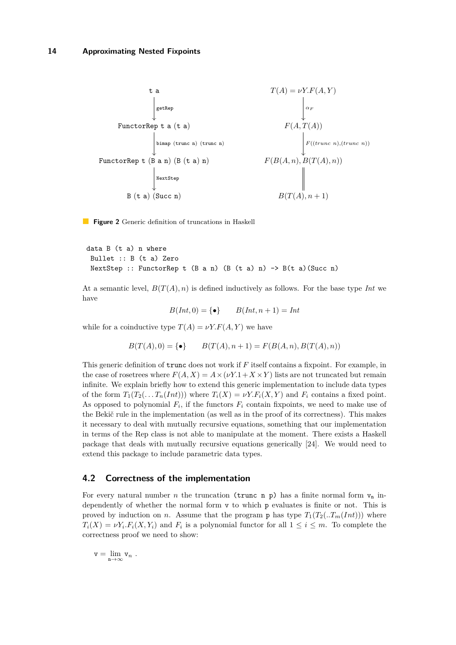<span id="page-13-1"></span>

**Figure 2** Generic definition of truncations in Haskell

```
data B (t a) n where
 Bullet :: B (t a) Zero
 NextStep :: FunctorRep t (B \text{ a } n) (B \text{ (t a) } n) \rightarrow B(t \text{ a}) (Succ n)
```
At a semantic level,  $B(T(A), n)$  is defined inductively as follows. For the base type *Int* we have

$$
B(Int,0) = \{ \bullet \} \qquad B(Int, n+1) = Int
$$

while for a coinductive type  $T(A) = \nu Y.F(A, Y)$  we have

$$
B(T(A), 0) = \{ \bullet \} \qquad B(T(A), n+1) = F(B(A, n), B(T(A), n))
$$

This generic definition of trunc does not work if *F* itself contains a fixpoint. For example, in the case of rosetrees where  $F(A, X) = A \times (\nu Y.1 + X \times Y)$  lists are not truncated but remain infinite. We explain briefly how to extend this generic implementation to include data types of the form  $T_1(T_2(\ldots T_n(Int)))$  where  $T_i(X) = \nu Y.F_i(X, Y)$  and  $F_i$  contains a fixed point. As opposed to polynomial  $F_i$ , if the functors  $F_i$  contain fixpoints, we need to make use of the Bekič rule in the implementation (as well as in the proof of its correctness). This makes it necessary to deal with mutually recursive equations, something that our implementation in terms of the Rep class is not able to manipulate at the moment. There exists a Haskell package that deals with mutually recursive equations generically [\[24\]](#page-15-19). We would need to extend this package to include parametric data types.

## <span id="page-13-0"></span>**4.2 Correctness of the implementation**

For every natural number *n* the truncation (trunc n p) has a finite normal form  $v_n$  independently of whether the normal form v to which p evaluates is finite or not. This is proved by induction on *n*. Assume that the program **p** has type  $T_1(T_2(\mathcal{F}_m(Int)))$  where  $T_i(X) = \nu Y_i.F_i(X, Y_i)$  and  $F_i$  is a polynomial functor for all  $1 \leq i \leq m$ . To complete the correctness proof we need to show:

$$
\mathbf{v}=\lim_{\mathbf{n}\to\infty}\mathbf{v}_n\ .
$$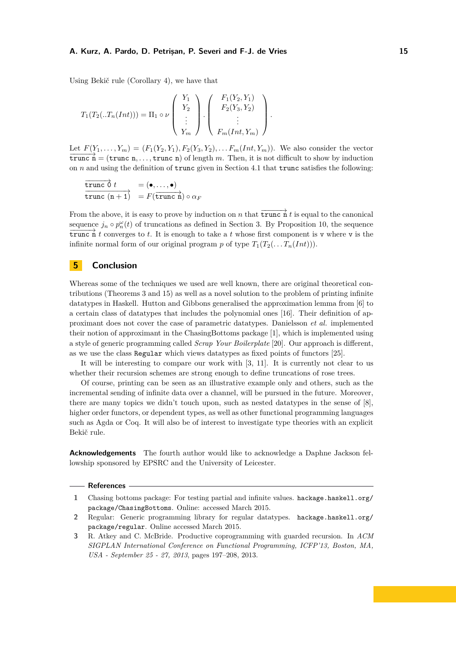Using Bekič rule (Corollary [4\)](#page-5-1), we have that

$$
T_1(T_2(\mathbf{1}T_n(Int))) = \Pi_1 \circ \nu \begin{pmatrix} Y_1 \\ Y_2 \\ \vdots \\ Y_m \end{pmatrix} \cdot \begin{pmatrix} F_1(Y_2, Y_1) \\ F_2(Y_3, Y_2) \\ \vdots \\ F_m(Int, Y_m) \end{pmatrix}.
$$

Let  $F(Y_1, ..., Y_m) = (F_1(Y_2, Y_1), F_2(Y_3, Y_2), ... F_m(Int, Y_m))$ . We also consider the vector  $\overrightarrow{trunc}$   $\overrightarrow{n}$  = (trunc n, ..., trunc n) of length *m*. Then, it is not difficult to show by induction on *n* and using the definition of trunc given in Section [4.1](#page-11-0) that trunc satisfies the following:

$$
\frac{\overrightarrow{\text{trunc }\theta} t}{\text{trunc }(n+1)} = (\bullet, \dots, \bullet)
$$
  

$$
F(\overrightarrow{\text{trunc }n}) \circ \alpha_F
$$

From the above, it is easy to prove by induction on *n* that  $\overrightarrow{trunc \, n}$  *t* is equal to the canonical sequence  $j_n \circ p_n^{\omega}(t)$  of truncations as defined in Section [3.](#page-7-0) By Proposition [10,](#page-9-1) the sequence  $\overline{\text{trunc n}} t$  converges to *t*. It is enough to take a *t* whose first component is v where v is the infinite normal form of our original program *p* of type  $T_1(T_2(\ldots T_n(int)))$ .

## **5 Conclusion**

Whereas some of the techniques we used are well known, there are original theoretical contributions (Theorems [3](#page-5-0) and [15\)](#page-10-1) as well as a novel solution to the problem of printing infinite datatypes in Haskell. Hutton and Gibbons generalised the approximation lemma from [\[6\]](#page-15-17) to a certain class of datatypes that includes the polynomial ones [\[16\]](#page-15-20). Their definition of approximant does not cover the case of parametric datatypes. Danielsson *et al.* implemented their notion of approximant in the ChasingBottoms package [\[1\]](#page-14-1), which is implemented using a style of generic programming called *Scrap Your Boilerplate* [\[20\]](#page-15-21). Our approach is different, as we use the class Regular which views datatypes as fixed points of functors [\[25\]](#page-15-18).

It will be interesting to compare our work with [\[3,](#page-14-2) [11\]](#page-15-22). It is currently not clear to us whether their recursion schemes are strong enough to define truncations of rose trees.

Of course, printing can be seen as an illustrative example only and others, such as the incremental sending of infinite data over a channel, will be pursued in the future. Moreover, there are many topics we didn't touch upon, such as nested datatypes in the sense of [\[8\]](#page-15-2), higher order functors, or dependent types, as well as other functional programming languages such as Agda or Coq. It will also be of interest to investigate type theories with an explicit Bekič rule.

**Acknowledgements** The fourth author would like to acknowledge a Daphne Jackson fellowship sponsored by EPSRC and the University of Leicester.

#### **References**

- <span id="page-14-1"></span>**1** Chasing bottoms package: For testing partial and infinite values. [hackage.haskell.org/](hackage.haskell.org/package/ChasingBottoms) [package/ChasingBottoms](hackage.haskell.org/package/ChasingBottoms). Online: accessed March 2015.
- <span id="page-14-0"></span>**2** Regular: Generic programming library for regular datatypes. [hackage.haskell.org/](hackage.haskell.org/package/regular) [package/regular](hackage.haskell.org/package/regular). Online accessed March 2015.
- <span id="page-14-2"></span>**3** R. Atkey and C. McBride. Productive coprogramming with guarded recursion. In *ACM SIGPLAN International Conference on Functional Programming, ICFP'13, Boston, MA, USA - September 25 - 27, 2013*, pages 197–208, 2013.